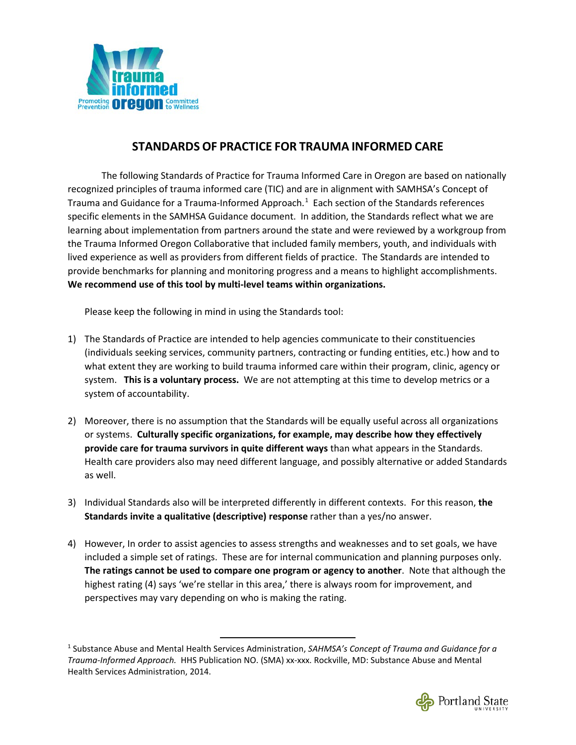

## **STANDARDS OF PRACTICE FOR TRAUMA INFORMED CARE**

The following Standards of Practice for Trauma Informed Care in Oregon are based on nationally recognized principles of trauma informed care (TIC) and are in alignment with SAMHSA's Concept of Trauma and Guidance for a Trauma-Informed Approach.<sup>[1](#page-0-0)</sup> Each section of the Standards references specific elements in the SAMHSA Guidance document. In addition, the Standards reflect what we are learning about implementation from partners around the state and were reviewed by a workgroup from the Trauma Informed Oregon Collaborative that included family members, youth, and individuals with lived experience as well as providers from different fields of practice. The Standards are intended to provide benchmarks for planning and monitoring progress and a means to highlight accomplishments. **We recommend use of this tool by multi-level teams within organizations.**

Please keep the following in mind in using the Standards tool:

- 1) The Standards of Practice are intended to help agencies communicate to their constituencies (individuals seeking services, community partners, contracting or funding entities, etc.) how and to what extent they are working to build trauma informed care within their program, clinic, agency or system. **This is a voluntary process.** We are not attempting at this time to develop metrics or a system of accountability.
- 2) Moreover, there is no assumption that the Standards will be equally useful across all organizations or systems. **Culturally specific organizations, for example, may describe how they effectively provide care for trauma survivors in quite different ways** than what appears in the Standards. Health care providers also may need different language, and possibly alternative or added Standards as well.
- 3) Individual Standards also will be interpreted differently in different contexts. For this reason, **the Standards invite a qualitative (descriptive) response** rather than a yes/no answer.
- 4) However, In order to assist agencies to assess strengths and weaknesses and to set goals, we have included a simple set of ratings. These are for internal communication and planning purposes only. **The ratings cannot be used to compare one program or agency to another**. Note that although the highest rating (4) says 'we're stellar in this area,' there is always room for improvement, and perspectives may vary depending on who is making the rating.

<span id="page-0-0"></span> <sup>1</sup> Substance Abuse and Mental Health Services Administration, *SAHMSA's Concept of Trauma and Guidance for a Trauma-Informed Approach.* HHS Publication NO. (SMA) xx-xxx. Rockville, MD: Substance Abuse and Mental Health Services Administration, 2014.

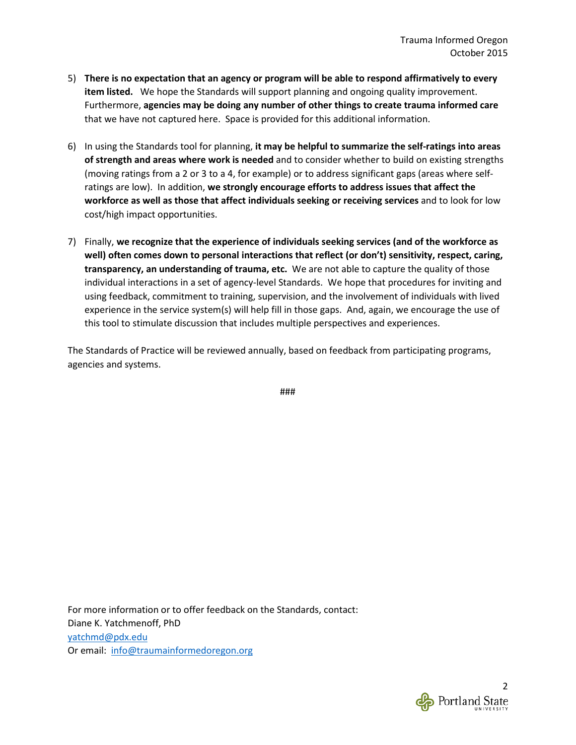- 5) **There is no expectation that an agency or program will be able to respond affirmatively to every item listed.** We hope the Standards will support planning and ongoing quality improvement. Furthermore, **agencies may be doing any number of other things to create trauma informed care** that we have not captured here. Space is provided for this additional information.
- 6) In using the Standards tool for planning, **it may be helpful to summarize the self-ratings into areas of strength and areas where work is needed** and to consider whether to build on existing strengths (moving ratings from a 2 or 3 to a 4, for example) or to address significant gaps (areas where selfratings are low). In addition, **we strongly encourage efforts to address issues that affect the workforce as well as those that affect individuals seeking or receiving services** and to look for low cost/high impact opportunities.
- 7) Finally, **we recognize that the experience of individuals seeking services (and of the workforce as well) often comes down to personal interactions that reflect (or don't) sensitivity, respect, caring, transparency, an understanding of trauma, etc.** We are not able to capture the quality of those individual interactions in a set of agency-level Standards. We hope that procedures for inviting and using feedback, commitment to training, supervision, and the involvement of individuals with lived experience in the service system(s) will help fill in those gaps. And, again, we encourage the use of this tool to stimulate discussion that includes multiple perspectives and experiences.

The Standards of Practice will be reviewed annually, based on feedback from participating programs, agencies and systems.

###

For more information or to offer feedback on the Standards, contact: Diane K. Yatchmenoff, PhD [yatchmd@pdx.edu](mailto:yatchmd@pdx.edu) Or email: [info@traumainformedoregon.org](mailto:info@traumainformedoregon.org)

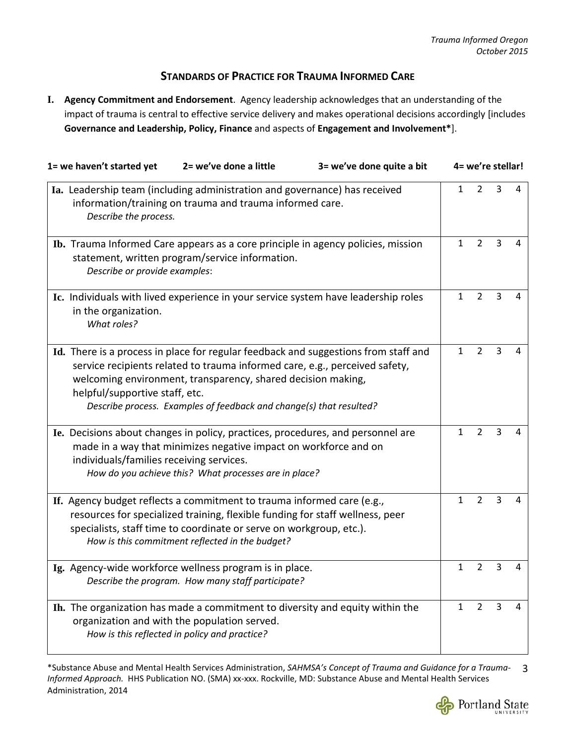## **STANDARDS OF PRACTICE FOR TRAUMA INFORMED CARE**

**I. Agency Commitment and Endorsement**. Agency leadership acknowledges that an understanding of the impact of trauma is central to effective service delivery and makes operational decisions accordingly [includes **Governance and Leadership, Policy, Finance** and aspects of **Engagement and Involvement\***].

| 1= we haven't started yet                | 2= we've done a little                                                                                                                                                                                                                                                            | 3= we've done quite a bit                                                           | 4= we're stellar! |                |   |   |  |
|------------------------------------------|-----------------------------------------------------------------------------------------------------------------------------------------------------------------------------------------------------------------------------------------------------------------------------------|-------------------------------------------------------------------------------------|-------------------|----------------|---|---|--|
|                                          | Ia. Leadership team (including administration and governance) has received<br>information/training on trauma and trauma informed care.<br>Describe the process.                                                                                                                   |                                                                                     |                   |                |   |   |  |
| Describe or provide examples:            | Ib. Trauma Informed Care appears as a core principle in agency policies, mission<br>statement, written program/service information.                                                                                                                                               |                                                                                     | $\mathbf{1}$      | $\overline{2}$ | 3 | 4 |  |
| in the organization.<br>What roles?      | Ic. Individuals with lived experience in your service system have leadership roles                                                                                                                                                                                                |                                                                                     | $\mathbf{1}$      | $\overline{2}$ | 3 | 4 |  |
| helpful/supportive staff, etc.           | service recipients related to trauma informed care, e.g., perceived safety,<br>welcoming environment, transparency, shared decision making,<br>Describe process. Examples of feedback and change(s) that resulted?                                                                | Id. There is a process in place for regular feedback and suggestions from staff and | $\mathbf{1}$      | $\overline{2}$ | 3 | 4 |  |
| individuals/families receiving services. | Ie. Decisions about changes in policy, practices, procedures, and personnel are<br>made in a way that minimizes negative impact on workforce and on<br>How do you achieve this? What processes are in place?                                                                      |                                                                                     | $\mathbf{1}$      | $\overline{2}$ | 3 | 4 |  |
|                                          | If. Agency budget reflects a commitment to trauma informed care (e.g.,<br>resources for specialized training, flexible funding for staff wellness, peer<br>specialists, staff time to coordinate or serve on workgroup, etc.).<br>How is this commitment reflected in the budget? |                                                                                     | $\mathbf{1}$      | $\overline{2}$ | 3 | 4 |  |
|                                          | Ig. Agency-wide workforce wellness program is in place.<br>Describe the program. How many staff participate?                                                                                                                                                                      |                                                                                     | $\mathbf{1}$      | $\overline{2}$ | 3 | 4 |  |
|                                          | Ih. The organization has made a commitment to diversity and equity within the<br>organization and with the population served.<br>How is this reflected in policy and practice?                                                                                                    |                                                                                     | $\mathbf{1}$      | $\overline{2}$ | 3 | 4 |  |

\*Substance Abuse and Mental Health Services Administration, *SAHMSA's Concept of Trauma and Guidance for a Trauma-*3 *Informed Approach.* HHS Publication NO. (SMA) xx-xxx. Rockville, MD: Substance Abuse and Mental Health Services Administration, 2014

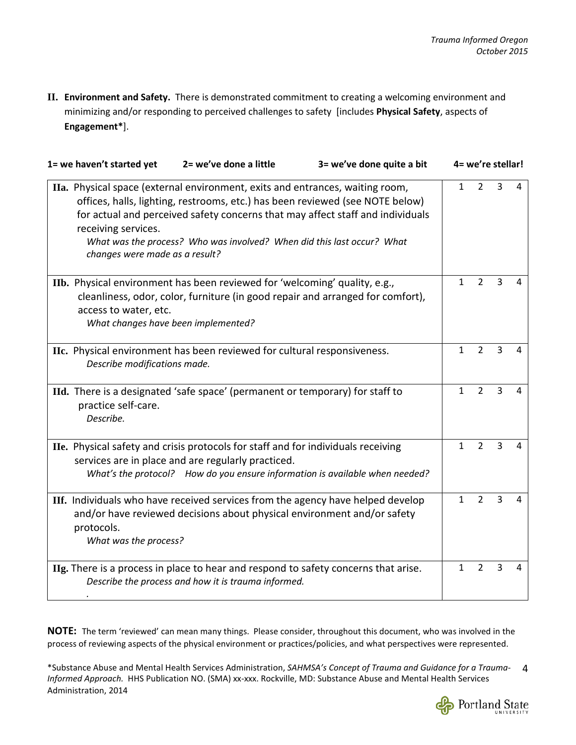**II. Environment and Safety.** There is demonstrated commitment to creating a welcoming environment and minimizing and/or responding to perceived challenges to safety [includes **Physical Safety**, aspects of **Engagement\***].

| 1= we haven't started yet                             | 2= we've done a little                                                                                                                                                                                                                   | 3= we've done quite a bit                                                      |              | 4= we're stellar! |                |   |
|-------------------------------------------------------|------------------------------------------------------------------------------------------------------------------------------------------------------------------------------------------------------------------------------------------|--------------------------------------------------------------------------------|--------------|-------------------|----------------|---|
| receiving services.<br>changes were made as a result? | IIa. Physical space (external environment, exits and entrances, waiting room,<br>offices, halls, lighting, restrooms, etc.) has been reviewed (see NOTE below)<br>What was the process? Who was involved? When did this last occur? What | for actual and perceived safety concerns that may affect staff and individuals | $\mathbf{1}$ | $\overline{2}$    | 3              | 4 |
| access to water, etc.                                 | IIb. Physical environment has been reviewed for 'welcoming' quality, e.g.,<br>cleanliness, odor, color, furniture (in good repair and arranged for comfort),<br>What changes have been implemented?                                      |                                                                                | $\mathbf{1}$ | $\overline{2}$    | 3              | 4 |
| Describe modifications made.                          | IIc. Physical environment has been reviewed for cultural responsiveness.                                                                                                                                                                 |                                                                                | $\mathbf{1}$ | $\overline{2}$    | 3              | 4 |
| practice self-care.<br>Describe.                      | IId. There is a designated 'safe space' (permanent or temporary) for staff to                                                                                                                                                            |                                                                                | $\mathbf{1}$ | $\overline{2}$    | $\overline{3}$ | 4 |
|                                                       | IIe. Physical safety and crisis protocols for staff and for individuals receiving<br>services are in place and are regularly practiced.                                                                                                  | What's the protocol? How do you ensure information is available when needed?   | $\mathbf{1}$ | $\overline{2}$    | $\overline{3}$ | 4 |
| protocols.<br>What was the process?                   | IIf. Individuals who have received services from the agency have helped develop<br>and/or have reviewed decisions about physical environment and/or safety                                                                               |                                                                                | $\mathbf{1}$ | $\overline{2}$    | $\overline{3}$ | 4 |
|                                                       | IIg. There is a process in place to hear and respond to safety concerns that arise.<br>Describe the process and how it is trauma informed.                                                                                               |                                                                                | 1            | $\overline{2}$    | $\overline{3}$ | 4 |

**NOTE:** The term 'reviewed' can mean many things. Please consider, throughout this document, who was involved in the process of reviewing aspects of the physical environment or practices/policies, and what perspectives were represented.

\*Substance Abuse and Mental Health Services Administration, *SAHMSA's Concept of Trauma and Guidance for a Trauma-*4 *Informed Approach.* HHS Publication NO. (SMA) xx-xxx. Rockville, MD: Substance Abuse and Mental Health Services Administration, 2014

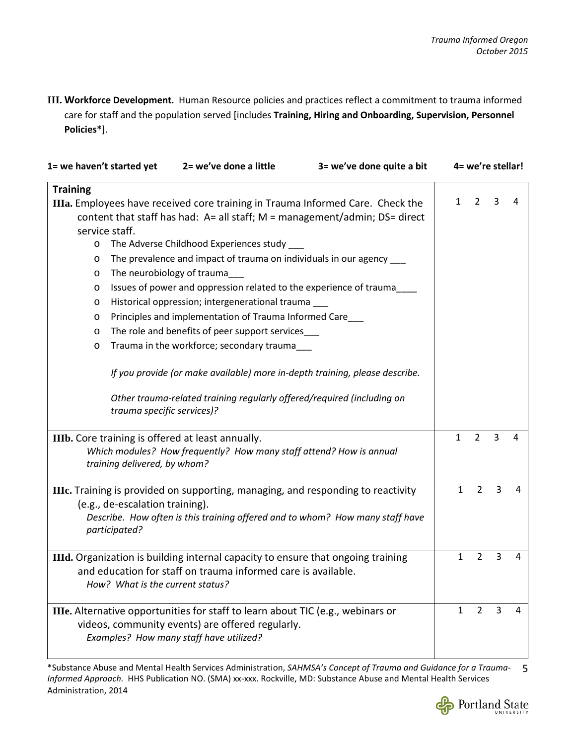**III. Workforce Development.** Human Resource policies and practices reflect a commitment to trauma informed care for staff and the population served [includes **Training, Hiring and Onboarding, Supervision, Personnel Policies\***].

| 1= we haven't started yet                                      |                                                                                                                                                                                                                                                                                                                                                                                                                                                                                                         | 2= we've done a little                                                                                                                                                                              | 3= we've done quite a bit                                                     |              | 4= we're stellar! |   |   |
|----------------------------------------------------------------|---------------------------------------------------------------------------------------------------------------------------------------------------------------------------------------------------------------------------------------------------------------------------------------------------------------------------------------------------------------------------------------------------------------------------------------------------------------------------------------------------------|-----------------------------------------------------------------------------------------------------------------------------------------------------------------------------------------------------|-------------------------------------------------------------------------------|--------------|-------------------|---|---|
| <b>Training</b><br>service staff.<br>$\circ$<br>$\circ$        |                                                                                                                                                                                                                                                                                                                                                                                                                                                                                                         | IIIa. Employees have received core training in Trauma Informed Care. Check the<br>The Adverse Childhood Experiences study _<br>The prevalence and impact of trauma on individuals in our agency ___ | content that staff has had: A= all staff; M = management/admin; DS= direct    | $\mathbf{1}$ | $\overline{2}$    | 3 | 4 |
| $\circ$<br>$\circ$<br>$\circ$<br>$\circ$<br>$\circ$<br>$\circ$ | The neurobiology of trauma<br>Issues of power and oppression related to the experience of trauma<br>Historical oppression; intergenerational trauma<br>Principles and implementation of Trauma Informed Care_<br>The role and benefits of peer support services_<br>Trauma in the workforce; secondary trauma___<br>If you provide (or make available) more in-depth training, please describe.<br>Other trauma-related training regularly offered/required (including on<br>trauma specific services)? |                                                                                                                                                                                                     |                                                                               |              |                   |   |   |
|                                                                | training delivered, by whom?                                                                                                                                                                                                                                                                                                                                                                                                                                                                            | IIIb. Core training is offered at least annually.<br>Which modules? How frequently? How many staff attend? How is annual                                                                            |                                                                               | $\mathbf{1}$ | $\overline{2}$    | 3 | 4 |
|                                                                | (e.g., de-escalation training).<br>participated?                                                                                                                                                                                                                                                                                                                                                                                                                                                        | IIIc. Training is provided on supporting, managing, and responding to reactivity                                                                                                                    | Describe. How often is this training offered and to whom? How many staff have | $\mathbf{1}$ | $\overline{2}$    | 3 | 4 |
|                                                                | How? What is the current status?                                                                                                                                                                                                                                                                                                                                                                                                                                                                        | IIId. Organization is building internal capacity to ensure that ongoing training<br>and education for staff on trauma informed care is available.                                                   |                                                                               | $\mathbf{1}$ | $\overline{2}$    | 3 | 4 |
|                                                                |                                                                                                                                                                                                                                                                                                                                                                                                                                                                                                         | IIIe. Alternative opportunities for staff to learn about TIC (e.g., webinars or<br>videos, community events) are offered regularly.<br>Examples? How many staff have utilized?                      |                                                                               | $\mathbf{1}$ | $\overline{2}$    | 3 | 4 |

\*Substance Abuse and Mental Health Services Administration, *SAHMSA's Concept of Trauma and Guidance for a Trauma-*5 *Informed Approach.* HHS Publication NO. (SMA) xx-xxx. Rockville, MD: Substance Abuse and Mental Health Services Administration, 2014

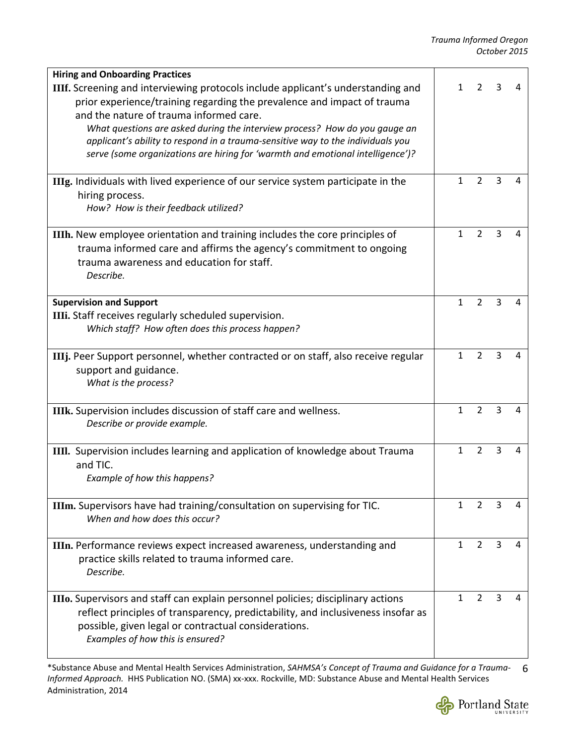| <b>Hiring and Onboarding Practices</b>                                                                                                                                                                                                                                                      |              |                |   |   |
|---------------------------------------------------------------------------------------------------------------------------------------------------------------------------------------------------------------------------------------------------------------------------------------------|--------------|----------------|---|---|
| <b>IIIf.</b> Screening and interviewing protocols include applicant's understanding and<br>prior experience/training regarding the prevalence and impact of trauma<br>and the nature of trauma informed care.<br>What questions are asked during the interview process? How do you gauge an | 1            | 2              | 3 | 4 |
| applicant's ability to respond in a trauma-sensitive way to the individuals you<br>serve (some organizations are hiring for 'warmth and emotional intelligence')?                                                                                                                           |              |                |   |   |
| <b>IIIg.</b> Individuals with lived experience of our service system participate in the<br>hiring process.<br>How? How is their feedback utilized?                                                                                                                                          | $\mathbf{1}$ | $\overline{2}$ | 3 | 4 |
| IIIh. New employee orientation and training includes the core principles of<br>trauma informed care and affirms the agency's commitment to ongoing<br>trauma awareness and education for staff.<br>Describe.                                                                                | $\mathbf{1}$ | $\overline{2}$ | 3 | 4 |
| <b>Supervision and Support</b><br>IIIi. Staff receives regularly scheduled supervision.<br>Which staff? How often does this process happen?                                                                                                                                                 | $\mathbf{1}$ | $\overline{2}$ | 3 | 4 |
| <b>IIIj.</b> Peer Support personnel, whether contracted or on staff, also receive regular<br>support and guidance.<br>What is the process?                                                                                                                                                  | $\mathbf{1}$ | $\overline{2}$ | 3 | 4 |
| IIIk. Supervision includes discussion of staff care and wellness.<br>Describe or provide example.                                                                                                                                                                                           | $\mathbf{1}$ | $\overline{2}$ | 3 | 4 |
| IIII. Supervision includes learning and application of knowledge about Trauma<br>and TIC.<br>Example of how this happens?                                                                                                                                                                   | $\mathbf{1}$ | $\overline{2}$ | 3 | 4 |
| IIIm. Supervisors have had training/consultation on supervising for TIC.<br>When and how does this occur?                                                                                                                                                                                   | $\mathbf{1}$ | $\overline{2}$ | 3 | 4 |
| IIIn. Performance reviews expect increased awareness, understanding and<br>practice skills related to trauma informed care.<br>Describe.                                                                                                                                                    | $\mathbf{1}$ | $\overline{2}$ | 3 | 4 |
| IIIo. Supervisors and staff can explain personnel policies; disciplinary actions<br>reflect principles of transparency, predictability, and inclusiveness insofar as<br>possible, given legal or contractual considerations.<br>Examples of how this is ensured?                            | $\mathbf{1}$ | $\overline{2}$ | 3 | 4 |

\*Substance Abuse and Mental Health Services Administration, *SAHMSA's Concept of Trauma and Guidance for a Trauma-*6 *Informed Approach.* HHS Publication NO. (SMA) xx-xxx. Rockville, MD: Substance Abuse and Mental Health Services Administration, 2014

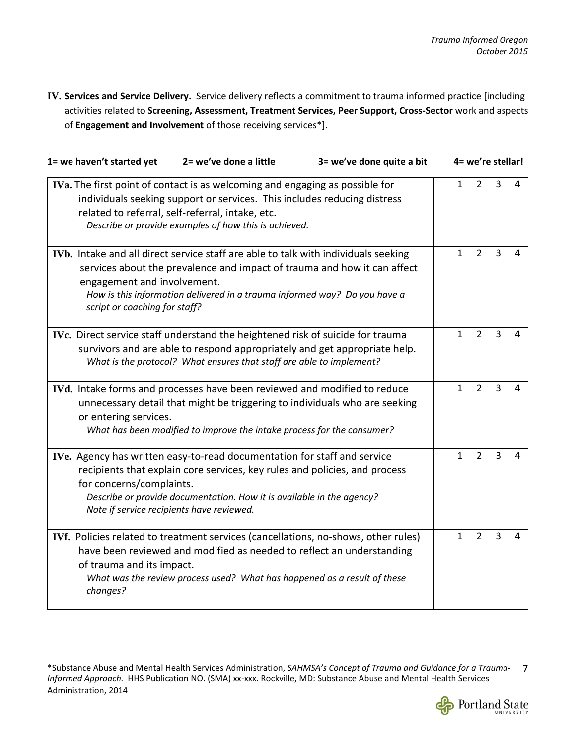**IV. Services and Service Delivery.** Service delivery reflects a commitment to trauma informed practice [including activities related to **Screening, Assessment, Treatment Services, Peer Support, Cross-Sector** work and aspects of **Engagement and Involvement** of those receiving services\*].

| 1= we haven't started yet                                                                                                                                                                                                                                             | 2= we've done a little                                                                                                                                                                                                                                                       | 3= we've done quite a bit |              | 4= we're stellar! |                |   |
|-----------------------------------------------------------------------------------------------------------------------------------------------------------------------------------------------------------------------------------------------------------------------|------------------------------------------------------------------------------------------------------------------------------------------------------------------------------------------------------------------------------------------------------------------------------|---------------------------|--------------|-------------------|----------------|---|
| IVa. The first point of contact is as welcoming and engaging as possible for<br>individuals seeking support or services. This includes reducing distress<br>related to referral, self-referral, intake, etc.<br>Describe or provide examples of how this is achieved. | $\mathbf{1}$                                                                                                                                                                                                                                                                 | 2                         | 3            | 4                 |                |   |
| engagement and involvement.<br>script or coaching for staff?                                                                                                                                                                                                          | IVb. Intake and all direct service staff are able to talk with individuals seeking<br>services about the prevalence and impact of trauma and how it can affect<br>How is this information delivered in a trauma informed way? Do you have a                                  |                           | $\mathbf{1}$ | $\overline{2}$    | 3              | 4 |
|                                                                                                                                                                                                                                                                       | IVc. Direct service staff understand the heightened risk of suicide for trauma<br>survivors and are able to respond appropriately and get appropriate help.<br>What is the protocol? What ensures that staff are able to implement?                                          |                           | 1            | $\overline{2}$    | $\overline{3}$ | 4 |
| or entering services.                                                                                                                                                                                                                                                 | IVd. Intake forms and processes have been reviewed and modified to reduce<br>unnecessary detail that might be triggering to individuals who are seeking<br>What has been modified to improve the intake process for the consumer?                                            |                           | $\mathbf{1}$ | $\overline{2}$    | $\overline{3}$ | 4 |
| for concerns/complaints.                                                                                                                                                                                                                                              | IVe. Agency has written easy-to-read documentation for staff and service<br>recipients that explain core services, key rules and policies, and process<br>Describe or provide documentation. How it is available in the agency?<br>Note if service recipients have reviewed. |                           | 1            | $\overline{2}$    | 3              | 4 |
| of trauma and its impact.<br>changes?                                                                                                                                                                                                                                 | IVf. Policies related to treatment services (cancellations, no-shows, other rules)<br>have been reviewed and modified as needed to reflect an understanding<br>What was the review process used? What has happened as a result of these                                      |                           | $\mathbf{1}$ | $\overline{2}$    | 3              | 4 |

\*Substance Abuse and Mental Health Services Administration, *SAHMSA's Concept of Trauma and Guidance for a Trauma-*7 *Informed Approach.* HHS Publication NO. (SMA) xx-xxx. Rockville, MD: Substance Abuse and Mental Health Services Administration, 2014

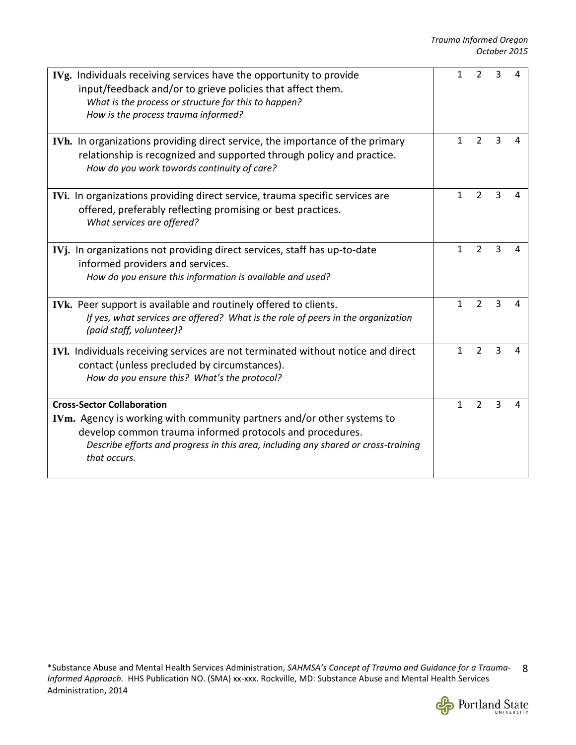| IVg. Individuals receiving services have the opportunity to provide<br>input/feedback and/or to grieve policies that affect them.<br>What is the process or structure for this to happen?<br>How is the process trauma informed?                                              | 1            | $\overline{2}$ | 3 |   |
|-------------------------------------------------------------------------------------------------------------------------------------------------------------------------------------------------------------------------------------------------------------------------------|--------------|----------------|---|---|
| IVh. In organizations providing direct service, the importance of the primary<br>relationship is recognized and supported through policy and practice.<br>How do you work towards continuity of care?                                                                         | $\mathbf{1}$ | 2              | 3 | 4 |
| IVi. In organizations providing direct service, trauma specific services are<br>offered, preferably reflecting promising or best practices.<br>What services are offered?                                                                                                     | $\mathbf{1}$ | $\overline{2}$ | 3 | 4 |
| IVj. In organizations not providing direct services, staff has up-to-date<br>informed providers and services.<br>How do you ensure this information is available and used?                                                                                                    | $\mathbf{1}$ | $\overline{2}$ | 3 | 4 |
| IVk. Peer support is available and routinely offered to clients.<br>If yes, what services are offered? What is the role of peers in the organization<br>(paid staff, volunteer)?                                                                                              | $\mathbf{1}$ | $\overline{2}$ | 3 | 4 |
| IVI. Individuals receiving services are not terminated without notice and direct<br>contact (unless precluded by circumstances).<br>How do you ensure this? What's the protocol?                                                                                              | 1            | $\overline{2}$ | 3 | Δ |
| <b>Cross-Sector Collaboration</b><br>IVm. Agency is working with community partners and/or other systems to<br>develop common trauma informed protocols and procedures.<br>Describe efforts and progress in this area, including any shared or cross-training<br>that occurs. | $\mathbf{1}$ | $\overline{2}$ | 3 |   |